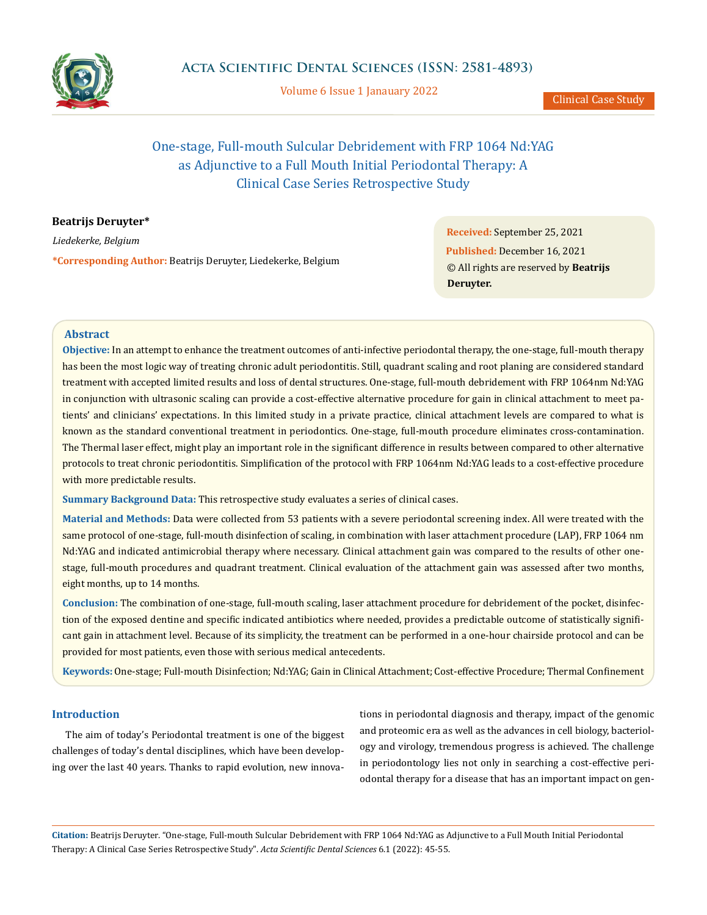

Volume 6 Issue 1 Janauary 2022

# One-stage, Full-mouth Sulcular Debridement with FRP 1064 Nd:YAG as Adjunctive to a Full Mouth Initial Periodontal Therapy: A Clinical Case Series Retrospective Study

# **Beatrijs Deruyter\***

*Liedekerke, Belgium* **\*Corresponding Author:** Beatrijs Deruyter, Liedekerke, Belgium

**Received:** September 25, 2021 **Published:** December 16, 2021 © All rights are reserved by **Beatrijs Deruyter.**

## **Abstract**

**Objective:** In an attempt to enhance the treatment outcomes of anti-infective periodontal therapy, the one-stage, full-mouth therapy has been the most logic way of treating chronic adult periodontitis. Still, quadrant scaling and root planing are considered standard treatment with accepted limited results and loss of dental structures. One-stage, full-mouth debridement with FRP 1064nm Nd:YAG in conjunction with ultrasonic scaling can provide a cost-effective alternative procedure for gain in clinical attachment to meet patients' and clinicians' expectations. In this limited study in a private practice, clinical attachment levels are compared to what is known as the standard conventional treatment in periodontics. One-stage, full-mouth procedure eliminates cross-contamination. The Thermal laser effect, might play an important role in the significant difference in results between compared to other alternative protocols to treat chronic periodontitis. Simplification of the protocol with FRP 1064nm Nd:YAG leads to a cost-effective procedure with more predictable results.

**Summary Background Data:** This retrospective study evaluates a series of clinical cases.

**Material and Methods:** Data were collected from 53 patients with a severe periodontal screening index. All were treated with the same protocol of one-stage, full-mouth disinfection of scaling, in combination with laser attachment procedure (LAP), FRP 1064 nm Nd:YAG and indicated antimicrobial therapy where necessary. Clinical attachment gain was compared to the results of other onestage, full-mouth procedures and quadrant treatment. Clinical evaluation of the attachment gain was assessed after two months, eight months, up to 14 months.

**Conclusion:** The combination of one-stage, full-mouth scaling, laser attachment procedure for debridement of the pocket, disinfection of the exposed dentine and specific indicated antibiotics where needed, provides a predictable outcome of statistically significant gain in attachment level. Because of its simplicity, the treatment can be performed in a one-hour chairside protocol and can be provided for most patients, even those with serious medical antecedents.

**Keywords:** One-stage; Full-mouth Disinfection; Nd:YAG; Gain in Clinical Attachment; Cost-effective Procedure; Thermal Confinement

## **Introduction**

The aim of today's Periodontal treatment is one of the biggest challenges of today's dental disciplines, which have been developing over the last 40 years. Thanks to rapid evolution, new innovations in periodontal diagnosis and therapy, impact of the genomic and proteomic era as well as the advances in cell biology, bacteriology and virology, tremendous progress is achieved. The challenge in periodontology lies not only in searching a cost-effective periodontal therapy for a disease that has an important impact on gen-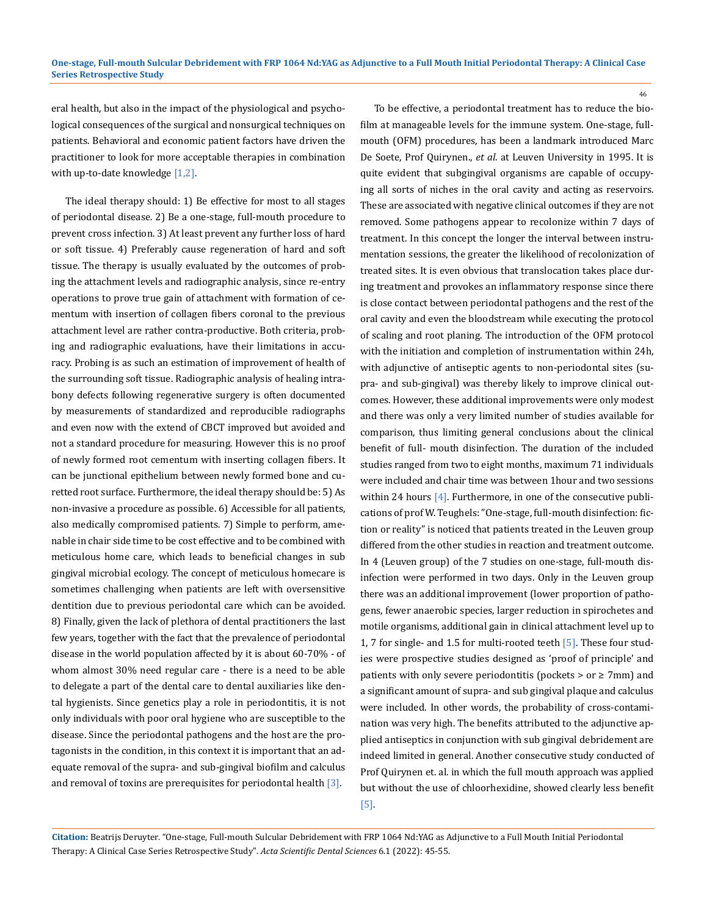eral health, but also in the impact of the physiological and psychological consequences of the surgical and nonsurgical techniques on patients. Behavioral and economic patient factors have driven the practitioner to look for more acceptable therapies in combination with up-to-date knowledge  $[1,2]$ .

The ideal therapy should: 1) Be effective for most to all stages of periodontal disease. 2) Be a one-stage, full-mouth procedure to prevent cross infection. 3) At least prevent any further loss of hard or soft tissue. 4) Preferably cause regeneration of hard and soft tissue. The therapy is usually evaluated by the outcomes of probing the attachment levels and radiographic analysis, since re-entry operations to prove true gain of attachment with formation of cementum with insertion of collagen fibers coronal to the previous attachment level are rather contra-productive. Both criteria, probing and radiographic evaluations, have their limitations in accuracy. Probing is as such an estimation of improvement of health of the surrounding soft tissue. Radiographic analysis of healing intrabony defects following regenerative surgery is often documented by measurements of standardized and reproducible radiographs and even now with the extend of CBCT improved but avoided and not a standard procedure for measuring. However this is no proof of newly formed root cementum with inserting collagen fibers. It can be junctional epithelium between newly formed bone and curetted root surface. Furthermore, the ideal therapy should be: 5) As non-invasive a procedure as possible. 6) Accessible for all patients, also medically compromised patients. 7) Simple to perform, amenable in chair side time to be cost effective and to be combined with meticulous home care, which leads to beneficial changes in sub gingival microbial ecology. The concept of meticulous homecare is sometimes challenging when patients are left with oversensitive dentition due to previous periodontal care which can be avoided. 8) Finally, given the lack of plethora of dental practitioners the last few years, together with the fact that the prevalence of periodontal disease in the world population affected by it is about 60-70% - of whom almost 30% need regular care - there is a need to be able to delegate a part of the dental care to dental auxiliaries like dental hygienists. Since genetics play a role in periodontitis, it is not only individuals with poor oral hygiene who are susceptible to the disease. Since the periodontal pathogens and the host are the protagonists in the condition, in this context it is important that an adequate removal of the supra- and sub-gingival biofilm and calculus and removal of toxins are prerequisites for periodontal health [3].

To be effective, a periodontal treatment has to reduce the biofilm at manageable levels for the immune system. One-stage, fullmouth (OFM) procedures, has been a landmark introduced Marc De Soete, Prof Quirynen., *et al*. at Leuven University in 1995. It is quite evident that subgingival organisms are capable of occupying all sorts of niches in the oral cavity and acting as reservoirs. These are associated with negative clinical outcomes if they are not removed. Some pathogens appear to recolonize within 7 days of treatment. In this concept the longer the interval between instrumentation sessions, the greater the likelihood of recolonization of treated sites. It is even obvious that translocation takes place during treatment and provokes an inflammatory response since there is close contact between periodontal pathogens and the rest of the oral cavity and even the bloodstream while executing the protocol of scaling and root planing. The introduction of the OFM protocol with the initiation and completion of instrumentation within 24h, with adjunctive of antiseptic agents to non-periodontal sites (supra- and sub-gingival) was thereby likely to improve clinical outcomes. However, these additional improvements were only modest and there was only a very limited number of studies available for comparison, thus limiting general conclusions about the clinical benefit of full- mouth disinfection. The duration of the included studies ranged from two to eight months, maximum 71 individuals were included and chair time was between 1hour and two sessions within 24 hours  $[4]$ . Furthermore, in one of the consecutive publications of prof W. Teughels: "One-stage, full-mouth disinfection: fiction or reality" is noticed that patients treated in the Leuven group differed from the other studies in reaction and treatment outcome. In 4 (Leuven group) of the 7 studies on one-stage, full-mouth disinfection were performed in two days. Only in the Leuven group there was an additional improvement (lower proportion of pathogens, fewer anaerobic species, larger reduction in spirochetes and motile organisms, additional gain in clinical attachment level up to 1, 7 for single- and 1.5 for multi-rooted teeth [5]. These four studies were prospective studies designed as 'proof of principle' and patients with only severe periodontitis (pockets  $>$  or  $\geq$  7mm) and a significant amount of supra- and sub gingival plaque and calculus were included. In other words, the probability of cross-contamination was very high. The benefits attributed to the adjunctive applied antiseptics in conjunction with sub gingival debridement are indeed limited in general. Another consecutive study conducted of Prof Quirynen et. al. in which the full mouth approach was applied but without the use of chloorhexidine, showed clearly less benefit [5].

**Citation:** Beatrijs Deruyter*.* "One-stage, Full-mouth Sulcular Debridement with FRP 1064 Nd:YAG as Adjunctive to a Full Mouth Initial Periodontal Therapy: A Clinical Case Series Retrospective Study". *Acta Scientific Dental Sciences* 6.1 (2022): 45-55.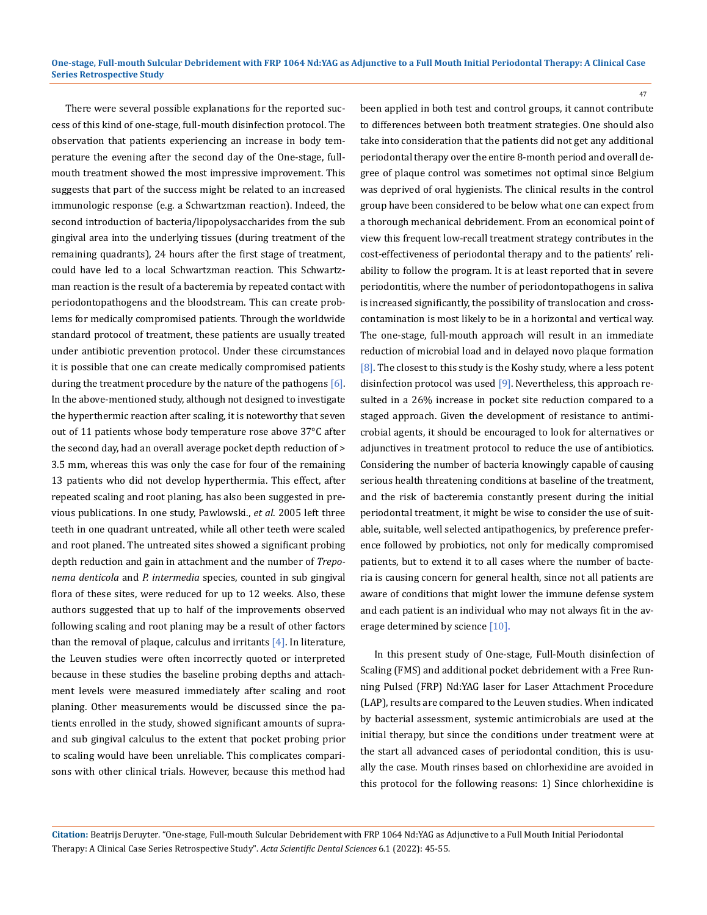There were several possible explanations for the reported success of this kind of one-stage, full-mouth disinfection protocol. The observation that patients experiencing an increase in body temperature the evening after the second day of the One-stage, fullmouth treatment showed the most impressive improvement. This suggests that part of the success might be related to an increased immunologic response (e.g. a Schwartzman reaction). Indeed, the second introduction of bacteria/lipopolysaccharides from the sub gingival area into the underlying tissues (during treatment of the remaining quadrants), 24 hours after the first stage of treatment, could have led to a local Schwartzman reaction. This Schwartzman reaction is the result of a bacteremia by repeated contact with periodontopathogens and the bloodstream. This can create problems for medically compromised patients. Through the worldwide standard protocol of treatment, these patients are usually treated under antibiotic prevention protocol. Under these circumstances it is possible that one can create medically compromised patients during the treatment procedure by the nature of the pathogens [6]. In the above-mentioned study, although not designed to investigate the hyperthermic reaction after scaling, it is noteworthy that seven out of 11 patients whose body temperature rose above 37°C after the second day, had an overall average pocket depth reduction of > 3.5 mm, whereas this was only the case for four of the remaining 13 patients who did not develop hyperthermia. This effect, after repeated scaling and root planing, has also been suggested in previous publications. In one study, Pawlowski., *et al*. 2005 left three teeth in one quadrant untreated, while all other teeth were scaled and root planed. The untreated sites showed a significant probing depth reduction and gain in attachment and the number of *Treponema denticola* and *P. intermedia* species, counted in sub gingival flora of these sites, were reduced for up to 12 weeks. Also, these authors suggested that up to half of the improvements observed following scaling and root planing may be a result of other factors than the removal of plaque, calculus and irritants  $[4]$ . In literature, the Leuven studies were often incorrectly quoted or interpreted because in these studies the baseline probing depths and attachment levels were measured immediately after scaling and root planing. Other measurements would be discussed since the patients enrolled in the study, showed significant amounts of supraand sub gingival calculus to the extent that pocket probing prior to scaling would have been unreliable. This complicates comparisons with other clinical trials. However, because this method had

been applied in both test and control groups, it cannot contribute to differences between both treatment strategies. One should also take into consideration that the patients did not get any additional periodontal therapy over the entire 8-month period and overall degree of plaque control was sometimes not optimal since Belgium was deprived of oral hygienists. The clinical results in the control group have been considered to be below what one can expect from a thorough mechanical debridement. From an economical point of view this frequent low-recall treatment strategy contributes in the cost-effectiveness of periodontal therapy and to the patients' reliability to follow the program. It is at least reported that in severe periodontitis, where the number of periodontopathogens in saliva is increased significantly, the possibility of translocation and crosscontamination is most likely to be in a horizontal and vertical way. The one-stage, full-mouth approach will result in an immediate reduction of microbial load and in delayed novo plaque formation [8]. The closest to this study is the Koshy study, where a less potent disinfection protocol was used [9]. Nevertheless, this approach resulted in a 26% increase in pocket site reduction compared to a staged approach. Given the development of resistance to antimicrobial agents, it should be encouraged to look for alternatives or adjunctives in treatment protocol to reduce the use of antibiotics. Considering the number of bacteria knowingly capable of causing serious health threatening conditions at baseline of the treatment, and the risk of bacteremia constantly present during the initial periodontal treatment, it might be wise to consider the use of suitable, suitable, well selected antipathogenics, by preference preference followed by probiotics, not only for medically compromised patients, but to extend it to all cases where the number of bacteria is causing concern for general health, since not all patients are aware of conditions that might lower the immune defense system and each patient is an individual who may not always fit in the average determined by science [10].

47

In this present study of One-stage, Full-Mouth disinfection of Scaling (FMS) and additional pocket debridement with a Free Running Pulsed (FRP) Nd:YAG laser for Laser Attachment Procedure (LAP), results are compared to the Leuven studies. When indicated by bacterial assessment, systemic antimicrobials are used at the initial therapy, but since the conditions under treatment were at the start all advanced cases of periodontal condition, this is usually the case. Mouth rinses based on chlorhexidine are avoided in this protocol for the following reasons: 1) Since chlorhexidine is

**Citation:** Beatrijs Deruyter*.* "One-stage, Full-mouth Sulcular Debridement with FRP 1064 Nd:YAG as Adjunctive to a Full Mouth Initial Periodontal Therapy: A Clinical Case Series Retrospective Study". *Acta Scientific Dental Sciences* 6.1 (2022): 45-55.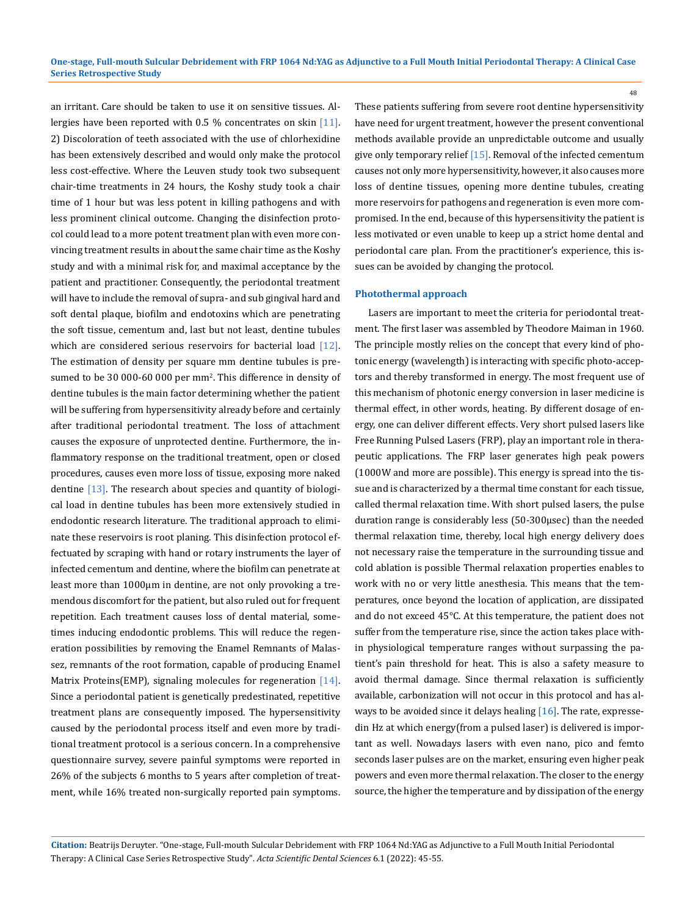an irritant. Care should be taken to use it on sensitive tissues. Allergies have been reported with 0.5 % concentrates on skin [11]. 2) Discoloration of teeth associated with the use of chlorhexidine has been extensively described and would only make the protocol less cost-effective. Where the Leuven study took two subsequent chair-time treatments in 24 hours, the Koshy study took a chair time of 1 hour but was less potent in killing pathogens and with less prominent clinical outcome. Changing the disinfection protocol could lead to a more potent treatment plan with even more convincing treatment results in about the same chair time as the Koshy study and with a minimal risk for, and maximal acceptance by the patient and practitioner. Consequently, the periodontal treatment will have to include the removal of supra- and sub gingival hard and soft dental plaque, biofilm and endotoxins which are penetrating the soft tissue, cementum and, last but not least, dentine tubules which are considered serious reservoirs for bacterial load  $[12]$ . The estimation of density per square mm dentine tubules is presumed to be 30 000-60 000 per mm2 . This difference in density of dentine tubules is the main factor determining whether the patient will be suffering from hypersensitivity already before and certainly after traditional periodontal treatment. The loss of attachment causes the exposure of unprotected dentine. Furthermore, the inflammatory response on the traditional treatment, open or closed procedures, causes even more loss of tissue, exposing more naked dentine [13]. The research about species and quantity of biological load in dentine tubules has been more extensively studied in endodontic research literature. The traditional approach to eliminate these reservoirs is root planing. This disinfection protocol effectuated by scraping with hand or rotary instruments the layer of infected cementum and dentine, where the biofilm can penetrate at least more than 1000µm in dentine, are not only provoking a tremendous discomfort for the patient, but also ruled out for frequent repetition. Each treatment causes loss of dental material, sometimes inducing endodontic problems. This will reduce the regeneration possibilities by removing the Enamel Remnants of Malassez, remnants of the root formation, capable of producing Enamel Matrix Proteins(EMP), signaling molecules for regeneration [14]. Since a periodontal patient is genetically predestinated, repetitive treatment plans are consequently imposed. The hypersensitivity caused by the periodontal process itself and even more by traditional treatment protocol is a serious concern. In a comprehensive questionnaire survey, severe painful symptoms were reported in 26% of the subjects 6 months to 5 years after completion of treatment, while 16% treated non-surgically reported pain symptoms.

These patients suffering from severe root dentine hypersensitivity have need for urgent treatment, however the present conventional methods available provide an unpredictable outcome and usually give only temporary relief [15]. Removal of the infected cementum causes not only more hypersensitivity, however, it also causes more loss of dentine tissues, opening more dentine tubules, creating more reservoirs for pathogens and regeneration is even more compromised. In the end, because of this hypersensitivity the patient is less motivated or even unable to keep up a strict home dental and periodontal care plan. From the practitioner's experience, this issues can be avoided by changing the protocol.

#### **Photothermal approach**

Lasers are important to meet the criteria for periodontal treatment. The first laser was assembled by Theodore Maiman in 1960. The principle mostly relies on the concept that every kind of photonic energy (wavelength) is interacting with specific photo-acceptors and thereby transformed in energy. The most frequent use of this mechanism of photonic energy conversion in laser medicine is thermal effect, in other words, heating. By different dosage of energy, one can deliver different effects. Very short pulsed lasers like Free Running Pulsed Lasers (FRP), play an important role in therapeutic applications. The FRP laser generates high peak powers (1000W and more are possible). This energy is spread into the tissue and is characterized by a thermal time constant for each tissue, called thermal relaxation time. With short pulsed lasers, the pulse duration range is considerably less (50-300μsec) than the needed thermal relaxation time, thereby, local high energy delivery does not necessary raise the temperature in the surrounding tissue and cold ablation is possible Thermal relaxation properties enables to work with no or very little anesthesia. This means that the temperatures, once beyond the location of application, are dissipated and do not exceed 45°C. At this temperature, the patient does not suffer from the temperature rise, since the action takes place within physiological temperature ranges without surpassing the patient's pain threshold for heat. This is also a safety measure to avoid thermal damage. Since thermal relaxation is sufficiently available, carbonization will not occur in this protocol and has always to be avoided since it delays healing [16]. The rate, expressedin Hz at which energy(from a pulsed laser) is delivered is important as well. Nowadays lasers with even nano, pico and femto seconds laser pulses are on the market, ensuring even higher peak powers and even more thermal relaxation. The closer to the energy source, the higher the temperature and by dissipation of the energy

**Citation:** Beatrijs Deruyter*.* "One-stage, Full-mouth Sulcular Debridement with FRP 1064 Nd:YAG as Adjunctive to a Full Mouth Initial Periodontal Therapy: A Clinical Case Series Retrospective Study". *Acta Scientific Dental Sciences* 6.1 (2022): 45-55.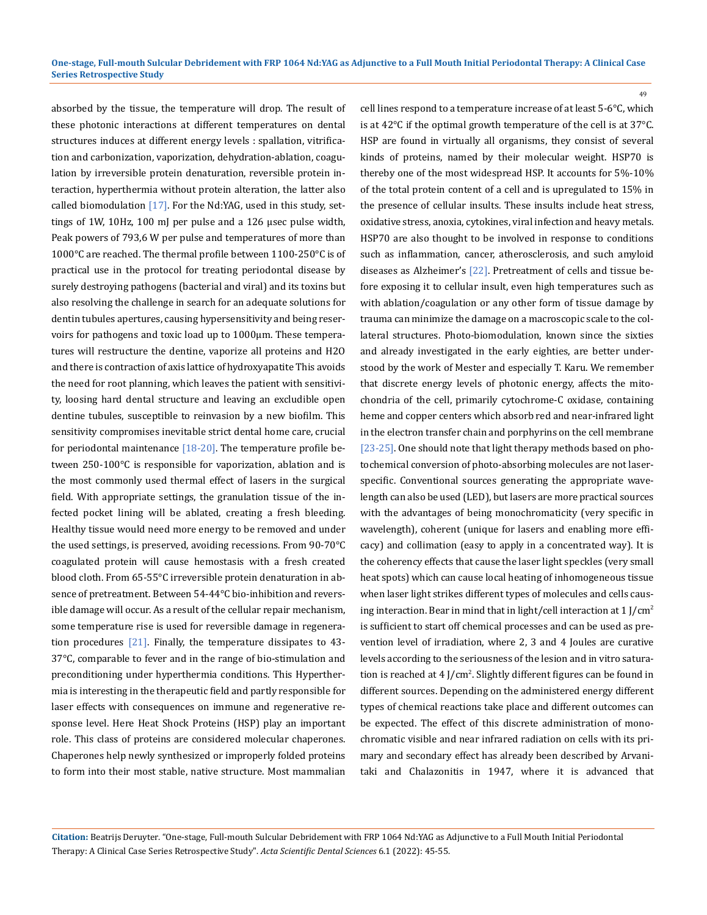absorbed by the tissue, the temperature will drop. The result of these photonic interactions at different temperatures on dental structures induces at different energy levels : spallation, vitrification and carbonization, vaporization, dehydration-ablation, coagulation by irreversible protein denaturation, reversible protein interaction, hyperthermia without protein alteration, the latter also called biomodulation  $[17]$ . For the Nd:YAG, used in this study, settings of 1W, 10Hz, 100 mJ per pulse and a 126 µsec pulse width, Peak powers of 793,6 W per pulse and temperatures of more than 1000°C are reached. The thermal profile between 1100-250°C is of practical use in the protocol for treating periodontal disease by surely destroying pathogens (bacterial and viral) and its toxins but also resolving the challenge in search for an adequate solutions for dentin tubules apertures, causing hypersensitivity and being reservoirs for pathogens and toxic load up to 1000µm. These temperatures will restructure the dentine, vaporize all proteins and H2O and there is contraction of axis lattice of hydroxyapatite This avoids the need for root planning, which leaves the patient with sensitivity, loosing hard dental structure and leaving an excludible open dentine tubules, susceptible to reinvasion by a new biofilm. This sensitivity compromises inevitable strict dental home care, crucial for periodontal maintenance  $[18-20]$ . The temperature profile between 250-100°C is responsible for vaporization, ablation and is the most commonly used thermal effect of lasers in the surgical field. With appropriate settings, the granulation tissue of the infected pocket lining will be ablated, creating a fresh bleeding. Healthy tissue would need more energy to be removed and under the used settings, is preserved, avoiding recessions. From 90-70°C coagulated protein will cause hemostasis with a fresh created blood cloth. From 65-55°C irreversible protein denaturation in absence of pretreatment. Between 54-44°C bio-inhibition and reversible damage will occur. As a result of the cellular repair mechanism, some temperature rise is used for reversible damage in regeneration procedures  $[21]$ . Finally, the temperature dissipates to 43-37°C, comparable to fever and in the range of bio-stimulation and preconditioning under hyperthermia conditions. This Hyperthermia is interesting in the therapeutic field and partly responsible for laser effects with consequences on immune and regenerative response level. Here Heat Shock Proteins (HSP) play an important role. This class of proteins are considered molecular chaperones. Chaperones help newly synthesized or improperly folded proteins to form into their most stable, native structure. Most mammalian

cell lines respond to a temperature increase of at least 5-6°C, which is at 42°C if the optimal growth temperature of the cell is at 37°C. HSP are found in virtually all organisms, they consist of several kinds of proteins, named by their molecular weight. HSP70 is thereby one of the most widespread HSP. It accounts for 5%-10% of the total protein content of a cell and is upregulated to 15% in the presence of cellular insults. These insults include heat stress, oxidative stress, anoxia, cytokines, viral infection and heavy metals. HSP70 are also thought to be involved in response to conditions such as inflammation, cancer, atherosclerosis, and such amyloid diseases as Alzheimer's [22]. Pretreatment of cells and tissue before exposing it to cellular insult, even high temperatures such as with ablation/coagulation or any other form of tissue damage by trauma can minimize the damage on a macroscopic scale to the collateral structures. Photo-biomodulation, known since the sixties and already investigated in the early eighties, are better understood by the work of Mester and especially T. Karu. We remember that discrete energy levels of photonic energy, affects the mitochondria of the cell, primarily cytochrome-C oxidase, containing heme and copper centers which absorb red and near-infrared light in the electron transfer chain and porphyrins on the cell membrane [23-25]. One should note that light therapy methods based on photochemical conversion of photo-absorbing molecules are not laserspecific. Conventional sources generating the appropriate wavelength can also be used (LED), but lasers are more practical sources with the advantages of being monochromaticity (very specific in wavelength), coherent (unique for lasers and enabling more efficacy) and collimation (easy to apply in a concentrated way). It is the coherency effects that cause the laser light speckles (very small heat spots) which can cause local heating of inhomogeneous tissue when laser light strikes different types of molecules and cells causing interaction. Bear in mind that in light/cell interaction at 1 J/cm2 is sufficient to start off chemical processes and can be used as prevention level of irradiation, where 2, 3 and 4 Joules are curative levels according to the seriousness of the lesion and in vitro saturation is reached at 4 J/cm<sup>2</sup>. Slightly different figures can be found in different sources. Depending on the administered energy different types of chemical reactions take place and different outcomes can be expected. The effect of this discrete administration of monochromatic visible and near infrared radiation on cells with its primary and secondary effect has already been described by Arvanitaki and Chalazonitis in 1947, where it is advanced that

49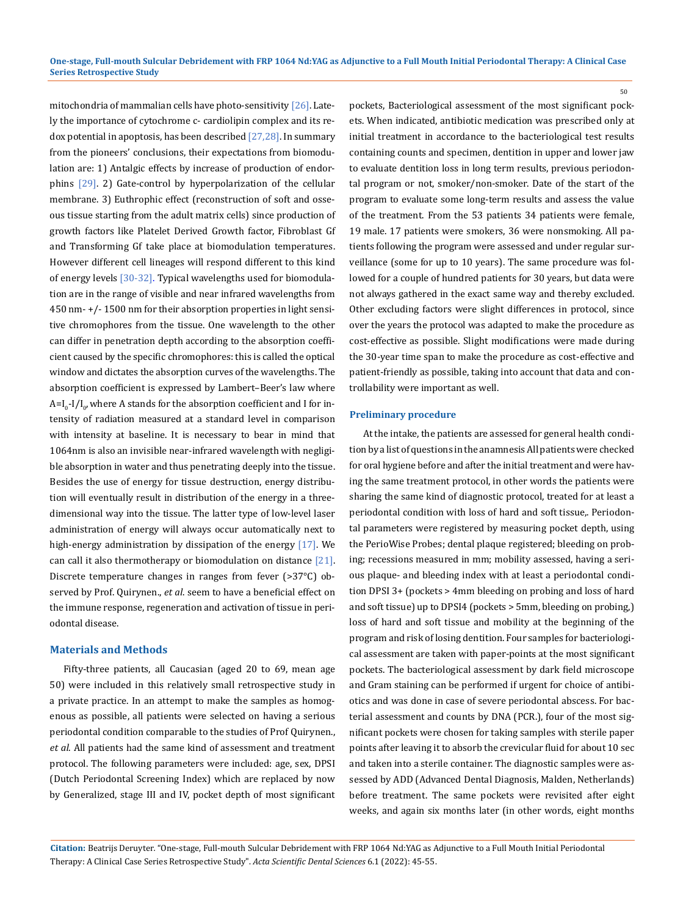mitochondria of mammalian cells have photo-sensitivity [26]. Lately the importance of cytochrome c- cardiolipin complex and its redox potential in apoptosis, has been described  $[27,28]$ . In summary from the pioneers' conclusions, their expectations from biomodulation are: 1) Antalgic effects by increase of production of endorphins [29]. 2) Gate-control by hyperpolarization of the cellular membrane. 3) Euthrophic effect (reconstruction of soft and osseous tissue starting from the adult matrix cells) since production of growth factors like Platelet Derived Growth factor, Fibroblast Gf and Transforming Gf take place at biomodulation temperatures. However different cell lineages will respond different to this kind of energy levels [30-32]. Typical wavelengths used for biomodulation are in the range of visible and near infrared wavelengths from 450 nm- +/- 1500 nm for their absorption properties in light sensitive chromophores from the tissue. One wavelength to the other can differ in penetration depth according to the absorption coefficient caused by the specific chromophores: this is called the optical window and dictates the absorption curves of the wavelengths. The absorption coefficient is expressed by Lambert–Beer's law where A=I<sub>0</sub>-I/I<sub>0</sub>, where A stands for the absorption coefficient and I for intensity of radiation measured at a standard level in comparison with intensity at baseline. It is necessary to bear in mind that 1064nm is also an invisible near-infrared wavelength with negligible absorption in water and thus penetrating deeply into the tissue. Besides the use of energy for tissue destruction, energy distribution will eventually result in distribution of the energy in a threedimensional way into the tissue. The latter type of low-level laser administration of energy will always occur automatically next to high-energy administration by dissipation of the energy [17]. We can call it also thermotherapy or biomodulation on distance  $[21]$ . Discrete temperature changes in ranges from fever (>37°C) observed by Prof. Quirynen., *et al*. seem to have a beneficial effect on the immune response, regeneration and activation of tissue in periodontal disease.

#### **Materials and Methods**

Fifty-three patients, all Caucasian (aged 20 to 69, mean age 50) were included in this relatively small retrospective study in a private practice. In an attempt to make the samples as homogenous as possible, all patients were selected on having a serious periodontal condition comparable to the studies of Prof Quirynen., *et al*. All patients had the same kind of assessment and treatment protocol. The following parameters were included: age, sex, DPSI (Dutch Periodontal Screening Index) which are replaced by now by Generalized, stage III and IV, pocket depth of most significant pockets, Bacteriological assessment of the most significant pockets. When indicated, antibiotic medication was prescribed only at initial treatment in accordance to the bacteriological test results containing counts and specimen, dentition in upper and lower jaw to evaluate dentition loss in long term results, previous periodontal program or not, smoker/non-smoker. Date of the start of the program to evaluate some long-term results and assess the value of the treatment. From the 53 patients 34 patients were female, 19 male. 17 patients were smokers, 36 were nonsmoking. All patients following the program were assessed and under regular surveillance (some for up to 10 years). The same procedure was followed for a couple of hundred patients for 30 years, but data were not always gathered in the exact same way and thereby excluded. Other excluding factors were slight differences in protocol, since over the years the protocol was adapted to make the procedure as cost-effective as possible. Slight modifications were made during the 30-year time span to make the procedure as cost-effective and patient-friendly as possible, taking into account that data and controllability were important as well.

50

#### **Preliminary procedure**

At the intake, the patients are assessed for general health condition by a list of questions in the anamnesis All patients were checked for oral hygiene before and after the initial treatment and were having the same treatment protocol, in other words the patients were sharing the same kind of diagnostic protocol, treated for at least a periodontal condition with loss of hard and soft tissue,. Periodontal parameters were registered by measuring pocket depth, using the PerioWise Probes; dental plaque registered; bleeding on probing; recessions measured in mm; mobility assessed, having a serious plaque- and bleeding index with at least a periodontal condition DPSI 3+ (pockets > 4mm bleeding on probing and loss of hard and soft tissue) up to DPSI4 (pockets > 5mm, bleeding on probing,) loss of hard and soft tissue and mobility at the beginning of the program and risk of losing dentition. Four samples for bacteriological assessment are taken with paper-points at the most significant pockets. The bacteriological assessment by dark field microscope and Gram staining can be performed if urgent for choice of antibiotics and was done in case of severe periodontal abscess. For bacterial assessment and counts by DNA (PCR.), four of the most significant pockets were chosen for taking samples with sterile paper points after leaving it to absorb the crevicular fluid for about 10 sec and taken into a sterile container. The diagnostic samples were assessed by ADD (Advanced Dental Diagnosis, Malden, Netherlands) before treatment. The same pockets were revisited after eight weeks, and again six months later (in other words, eight months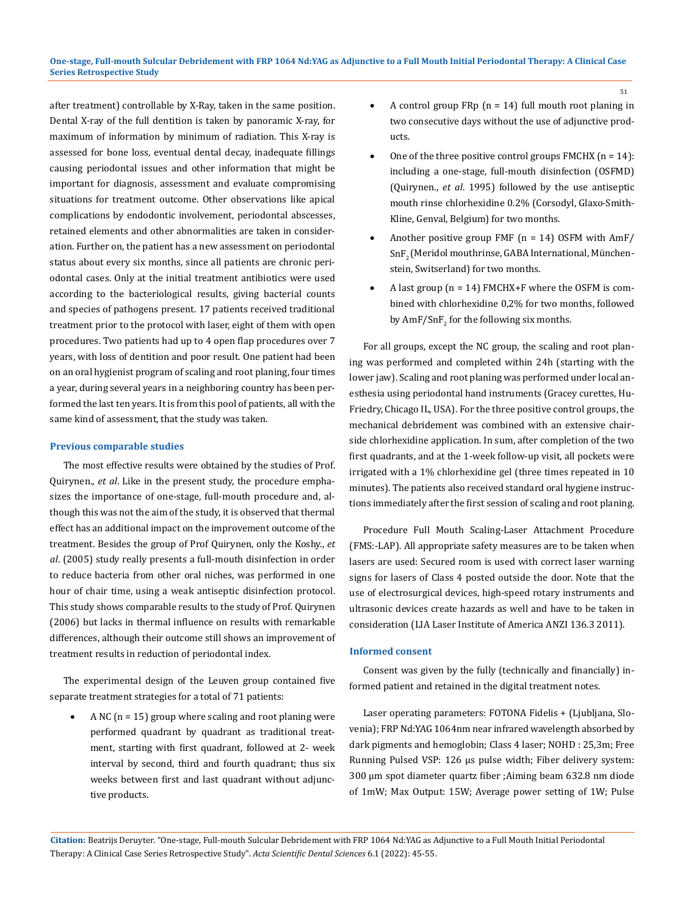after treatment) controllable by X-Ray, taken in the same position. Dental X-ray of the full dentition is taken by panoramic X-ray, for maximum of information by minimum of radiation. This X-ray is assessed for bone loss, eventual dental decay, inadequate fillings causing periodontal issues and other information that might be important for diagnosis, assessment and evaluate compromising situations for treatment outcome. Other observations like apical complications by endodontic involvement, periodontal abscesses, retained elements and other abnormalities are taken in consideration. Further on, the patient has a new assessment on periodontal status about every six months, since all patients are chronic periodontal cases. Only at the initial treatment antibiotics were used according to the bacteriological results, giving bacterial counts and species of pathogens present. 17 patients received traditional treatment prior to the protocol with laser, eight of them with open procedures. Two patients had up to 4 open flap procedures over 7 years, with loss of dentition and poor result. One patient had been on an oral hygienist program of scaling and root planing, four times a year, during several years in a neighboring country has been performed the last ten years. It is from this pool of patients, all with the same kind of assessment, that the study was taken.

#### **Previous comparable studies**

The most effective results were obtained by the studies of Prof. Quirynen., *et al*. Like in the present study, the procedure emphasizes the importance of one-stage, full-mouth procedure and, although this was not the aim of the study, it is observed that thermal effect has an additional impact on the improvement outcome of the treatment. Besides the group of Prof Quirynen, only the Koshy., *et al*. (2005) study really presents a full-mouth disinfection in order to reduce bacteria from other oral niches, was performed in one hour of chair time, using a weak antiseptic disinfection protocol. This study shows comparable results to the study of Prof. Quirynen (2006) but lacks in thermal influence on results with remarkable differences, although their outcome still shows an improvement of treatment results in reduction of periodontal index.

The experimental design of the Leuven group contained five separate treatment strategies for a total of 71 patients:

A NC ( $n = 15$ ) group where scaling and root planing were performed quadrant by quadrant as traditional treatment, starting with first quadrant, followed at 2- week interval by second, third and fourth quadrant; thus six weeks between first and last quadrant without adjunctive products.

- A control group FRp ( $n = 14$ ) full mouth root planing in two consecutive days without the use of adjunctive products.
- One of the three positive control groups FMCHX  $(n = 14)$ : including a one-stage, full-mouth disinfection (OSFMD) (Quirynen., *et al*. 1995) followed by the use antiseptic mouth rinse chlorhexidine 0.2% (Corsodyl, Glaxo-Smith-Kline, Genval, Belgium) for two months.
- Another positive group FMF ( $n = 14$ ) OSFM with AmF/ SnF<sub>2</sub> (Meridol mouthrinse, GABA International, Münchenstein, Switserland) for two months.
- A last group ( $n = 14$ ) FMCHX+F where the OSFM is combined with chlorhexidine 0,2% for two months, followed by  $AmF/SnF_2$  for the following six months.

For all groups, except the NC group, the scaling and root planing was performed and completed within 24h (starting with the lower jaw). Scaling and root planing was performed under local anesthesia using periodontal hand instruments (Gracey curettes, Hu-Friedry, Chicago IL, USA). For the three positive control groups, the mechanical debridement was combined with an extensive chairside chlorhexidine application. In sum, after completion of the two first quadrants, and at the 1-week follow-up visit, all pockets were irrigated with a 1% chlorhexidine gel (three times repeated in 10 minutes). The patients also received standard oral hygiene instructions immediately after the first session of scaling and root planing.

Procedure Full Mouth Scaling-Laser Attachment Procedure (FMS:-LAP). All appropriate safety measures are to be taken when lasers are used: Secured room is used with correct laser warning signs for lasers of Class 4 posted outside the door. Note that the use of electrosurgical devices, high-speed rotary instruments and ultrasonic devices create hazards as well and have to be taken in consideration (LIA Laser Institute of America ANZI 136.3 2011).

#### **Informed consent**

Consent was given by the fully (technically and financially) informed patient and retained in the digital treatment notes.

Laser operating parameters: FOTONA Fidelis + (Ljubljana, Slovenia); FRP Nd:YAG 1064nm near infrared wavelength absorbed by dark pigments and hemoglobin; Class 4 laser; NOHD : 25,3m; Free Running Pulsed VSP: 126 µs pulse width; Fiber delivery system: 300 µm spot diameter quartz fiber ;Aiming beam 632.8 nm diode of 1mW; Max Output: 15W; Average power setting of 1W; Pulse

**Citation:** Beatrijs Deruyter*.* "One-stage, Full-mouth Sulcular Debridement with FRP 1064 Nd:YAG as Adjunctive to a Full Mouth Initial Periodontal Therapy: A Clinical Case Series Retrospective Study". *Acta Scientific Dental Sciences* 6.1 (2022): 45-55.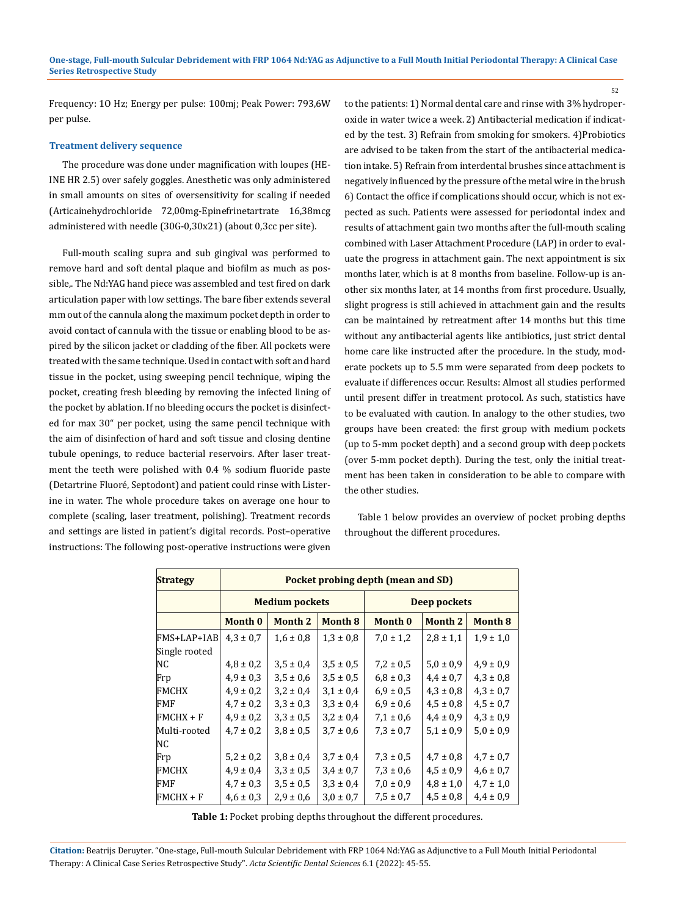Frequency: 1O Hz; Energy per pulse: 100mj; Peak Power: 793,6W per pulse.

#### **Treatment delivery sequence**

The procedure was done under magnification with loupes (HE-INE HR 2.5) over safely goggles. Anesthetic was only administered in small amounts on sites of oversensitivity for scaling if needed (Articainehydrochloride 72,00mg-Epinefrinetartrate 16,38mcg administered with needle (30G-0,30x21) (about 0,3cc per site).

Full-mouth scaling supra and sub gingival was performed to remove hard and soft dental plaque and biofilm as much as possible,. The Nd:YAG hand piece was assembled and test fired on dark articulation paper with low settings. The bare fiber extends several mm out of the cannula along the maximum pocket depth in order to avoid contact of cannula with the tissue or enabling blood to be aspired by the silicon jacket or cladding of the fiber. All pockets were treated with the same technique. Used in contact with soft and hard tissue in the pocket, using sweeping pencil technique, wiping the pocket, creating fresh bleeding by removing the infected lining of the pocket by ablation. If no bleeding occurs the pocket is disinfected for max 30" per pocket, using the same pencil technique with the aim of disinfection of hard and soft tissue and closing dentine tubule openings, to reduce bacterial reservoirs. After laser treatment the teeth were polished with 0.4 % sodium fluoride paste (Detartrine Fluoré, Septodont) and patient could rinse with Listerine in water. The whole procedure takes on average one hour to complete (scaling, laser treatment, polishing). Treatment records and settings are listed in patient's digital records. Post–operative instructions: The following post-operative instructions were given

to the patients: 1) Normal dental care and rinse with 3% hydroperoxide in water twice a week. 2) Antibacterial medication if indicated by the test. 3) Refrain from smoking for smokers. 4)Probiotics are advised to be taken from the start of the antibacterial medication intake. 5) Refrain from interdental brushes since attachment is negatively influenced by the pressure of the metal wire in the brush 6) Contact the office if complications should occur, which is not expected as such. Patients were assessed for periodontal index and results of attachment gain two months after the full-mouth scaling combined with Laser Attachment Procedure (LAP) in order to evaluate the progress in attachment gain. The next appointment is six months later, which is at 8 months from baseline. Follow-up is another six months later, at 14 months from first procedure. Usually, slight progress is still achieved in attachment gain and the results can be maintained by retreatment after 14 months but this time without any antibacterial agents like antibiotics, just strict dental home care like instructed after the procedure. In the study, moderate pockets up to 5.5 mm were separated from deep pockets to evaluate if differences occur. Results: Almost all studies performed until present differ in treatment protocol. As such, statistics have to be evaluated with caution. In analogy to the other studies, two groups have been created: the first group with medium pockets (up to 5-mm pocket depth) and a second group with deep pockets (over 5-mm pocket depth). During the test, only the initial treatment has been taken in consideration to be able to compare with the other studies.

52

Table 1 below provides an overview of pocket probing depths throughout the different procedures.

| <b>Strategy</b> | Pocket probing depth (mean and SD) |                |                |               |                |                |
|-----------------|------------------------------------|----------------|----------------|---------------|----------------|----------------|
|                 | <b>Medium pockets</b>              |                |                | Deep pockets  |                |                |
|                 | Month 0                            | <b>Month 2</b> | <b>Month 8</b> | Month 0       | <b>Month 2</b> | <b>Month 8</b> |
| FMS+LAP+IAB     | $4.3 \pm 0.7$                      | $1.6 \pm 0.8$  | $1.3 \pm 0.8$  | $7,0 \pm 1,2$ | $2.8 \pm 1.1$  | $1.9 \pm 1.0$  |
| Single rooted   |                                    |                |                |               |                |                |
| NC              | $4.8 \pm 0.2$                      | $3.5 \pm 0.4$  | $3.5 \pm 0.5$  | $7.2 \pm 0.5$ | $5,0 \pm 0,9$  | $4.9 \pm 0.9$  |
| Frp             | $4.9 \pm 0.3$                      | $3.5 \pm 0.6$  | $3.5 \pm 0.5$  | $6.8 \pm 0.3$ | $4.4 \pm 0.7$  | $4.3 \pm 0.8$  |
| <b>FMCHX</b>    | $4.9 \pm 0.2$                      | $3,2 \pm 0,4$  | $3,1 \pm 0,4$  | $6.9 \pm 0.5$ | $4.3 \pm 0.8$  | $4.3 \pm 0.7$  |
| FMF             | $4.7 \pm 0.2$                      | $3.3 \pm 0.3$  | $3.3 \pm 0.4$  | $6.9 \pm 0.6$ | $4,5 \pm 0.8$  | $4.5 \pm 0.7$  |
| $FMCHX + F$     | $4.9 \pm 0.2$                      | $3.3 \pm 0.5$  | $3,2 \pm 0,4$  | $7,1 \pm 0,6$ | $4.4 \pm 0.9$  | $4.3 \pm 0.9$  |
| Multi-rooted    | $4.7 \pm 0.2$                      | $3.8 \pm 0.5$  | $3.7 \pm 0.6$  | $7.3 \pm 0.7$ | $5.1 \pm 0.9$  | $5.0 \pm 0.9$  |
| NC              |                                    |                |                |               |                |                |
| Frp             | $5,2 \pm 0,2$                      | $3,8 \pm 0,4$  | $3,7 \pm 0,4$  | $7.3 \pm 0.5$ | $4.7 \pm 0.8$  | $4.7 \pm 0.7$  |
| FMCHX           | $4.9 \pm 0.4$                      | $3.3 \pm 0.5$  | $3.4 \pm 0.7$  | $7.3 \pm 0.6$ | $4.5 \pm 0.9$  | $4.6 \pm 0.7$  |
| FMF             | $4.7 \pm 0.3$                      | $3.5 \pm 0.5$  | $3.3 \pm 0.4$  | $7.0 \pm 0.9$ | $4.8 \pm 1.0$  | $4.7 \pm 1.0$  |
| $FMCHX + F$     | $4.6 \pm 0.3$                      | $2.9 \pm 0.6$  | $3.0 \pm 0.7$  | $7.5 \pm 0.7$ | $4.5 \pm 0.8$  | $4.4 \pm 0.9$  |

**Table 1:** Pocket probing depths throughout the different procedures.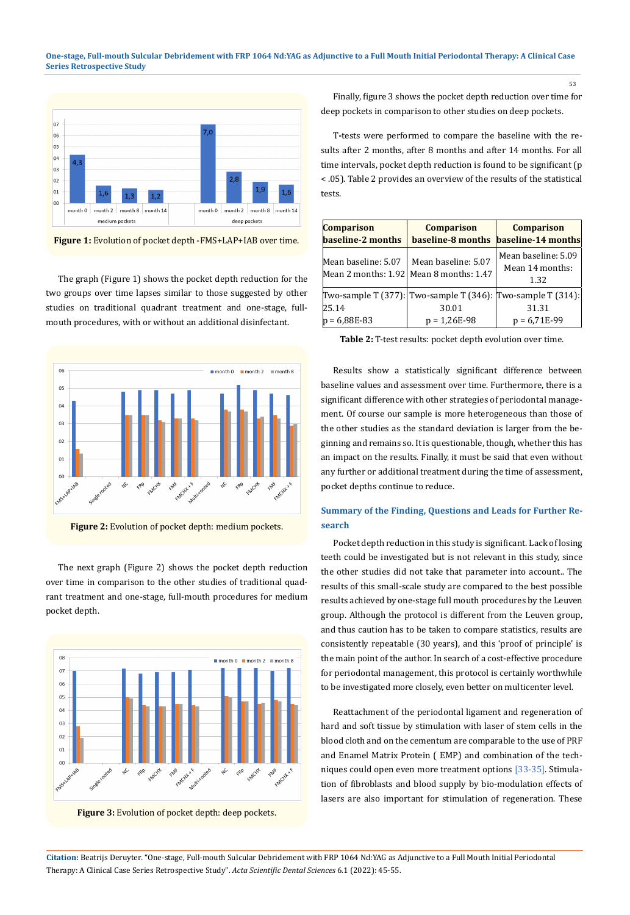#### **One-stage, Full-mouth Sulcular Debridement with FRP 1064 Nd:YAG as Adjunctive to a Full Mouth Initial Periodontal Therapy: A Clinical Case Series Retrospective Study**



**Figure 1:** Evolution of pocket depth -FMS+LAP+IAB over time.

The graph (Figure 1) shows the pocket depth reduction for the two groups over time lapses similar to those suggested by other studies on traditional quadrant treatment and one-stage, fullmouth procedures, with or without an additional disinfectant.



**Figure 2:** Evolution of pocket depth: medium pockets.

The next graph (Figure 2) shows the pocket depth reduction over time in comparison to the other studies of traditional quadrant treatment and one-stage, full-mouth procedures for medium pocket depth.



**Figure 3:** Evolution of pocket depth: deep pockets.

Finally, figure 3 shows the pocket depth reduction over time for deep pockets in comparison to other studies on deep pockets.

T**-**tests were performed to compare the baseline with the results after 2 months, after 8 months and after 14 months. For all time intervals, pocket depth reduction is found to be significant (p < .05). Table 2 provides an overview of the results of the statistical tests.

| <b>Comparison</b><br>baseline-2 months | <b>Comparison</b>                                                                      | <b>Comparison</b><br>baseline-8 months baseline-14 months |
|----------------------------------------|----------------------------------------------------------------------------------------|-----------------------------------------------------------|
| Mean baseline: 5.07                    | Mean baseline: 5.07<br>Mean 2 months: 1.92 Mean 8 months: 1.47                         | Mean baseline: 5.09<br>Mean 14 months:<br>1.32            |
| 25.14<br>$p = 6,88E-83$                | Two-sample T (377): Two-sample T (346): Two-sample T (314):<br>30.01<br>$p = 1,26E-98$ | 31.31<br>$p = 6,71E-99$                                   |

**Table 2:** T-test results: pocket depth evolution over time.

Results show a statistically significant difference between baseline values and assessment over time. Furthermore, there is a significant difference with other strategies of periodontal management. Of course our sample is more heterogeneous than those of the other studies as the standard deviation is larger from the beginning and remains so. It is questionable, though, whether this has an impact on the results. Finally, it must be said that even without any further or additional treatment during the time of assessment, pocket depths continue to reduce.

# **Summary of the Finding, Questions and Leads for Further Research**

Pocket depth reduction in this study is significant. Lack of losing teeth could be investigated but is not relevant in this study, since the other studies did not take that parameter into account.. The results of this small-scale study are compared to the best possible results achieved by one-stage full mouth procedures by the Leuven group. Although the protocol is different from the Leuven group, and thus caution has to be taken to compare statistics, results are consistently repeatable (30 years), and this 'proof of principle' is the main point of the author. In search of a cost-effective procedure for periodontal management, this protocol is certainly worthwhile to be investigated more closely, even better on multicenter level.

Reattachment of the periodontal ligament and regeneration of hard and soft tissue by stimulation with laser of stem cells in the blood cloth and on the cementum are comparable to the use of PRF and Enamel Matrix Protein ( EMP) and combination of the techniques could open even more treatment options [33-35]. Stimulation of fibroblasts and blood supply by bio-modulation effects of lasers are also important for stimulation of regeneration. These

**Citation:** Beatrijs Deruyter*.* "One-stage, Full-mouth Sulcular Debridement with FRP 1064 Nd:YAG as Adjunctive to a Full Mouth Initial Periodontal Therapy: A Clinical Case Series Retrospective Study". *Acta Scientific Dental Sciences* 6.1 (2022): 45-55.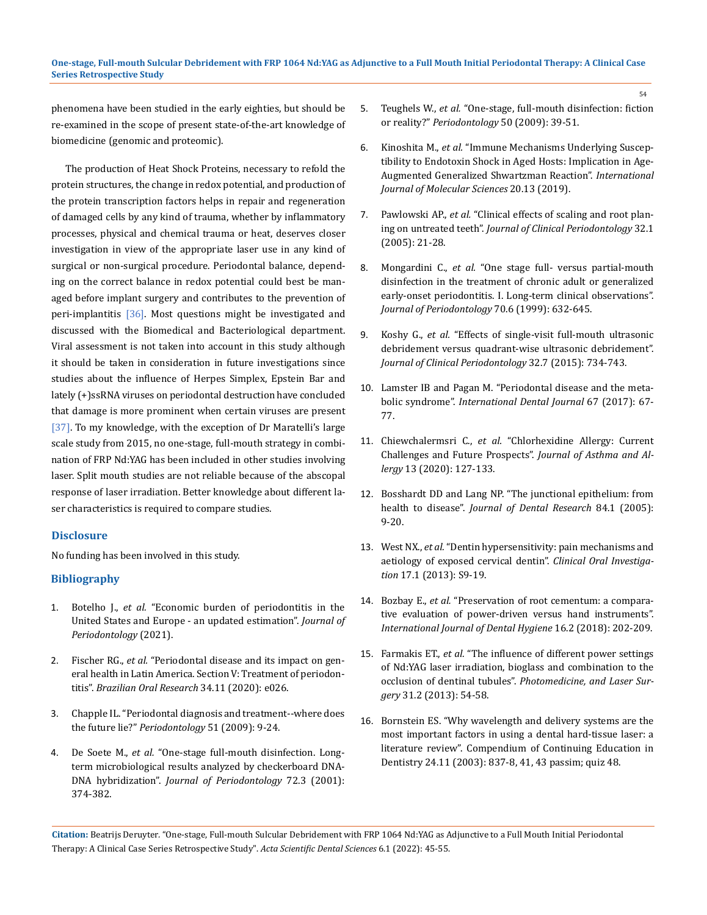phenomena have been studied in the early eighties, but should be re-examined in the scope of present state-of-the-art knowledge of biomedicine (genomic and proteomic).

The production of Heat Shock Proteins, necessary to refold the protein structures, the change in redox potential, and production of the protein transcription factors helps in repair and regeneration of damaged cells by any kind of trauma, whether by inflammatory processes, physical and chemical trauma or heat, deserves closer investigation in view of the appropriate laser use in any kind of surgical or non-surgical procedure. Periodontal balance, depending on the correct balance in redox potential could best be managed before implant surgery and contributes to the prevention of peri-implantitis [36]. Most questions might be investigated and discussed with the Biomedical and Bacteriological department. Viral assessment is not taken into account in this study although it should be taken in consideration in future investigations since studies about the influence of Herpes Simplex, Epstein Bar and lately (+)ssRNA viruses on periodontal destruction have concluded that damage is more prominent when certain viruses are present [37]. To my knowledge, with the exception of Dr Maratelli's large scale study from 2015, no one-stage, full-mouth strategy in combination of FRP Nd:YAG has been included in other studies involving laser. Split mouth studies are not reliable because of the abscopal response of laser irradiation. Better knowledge about different laser characteristics is required to compare studies.

### **Disclosure**

No funding has been involved in this study.

### **Bibliography**

- 1. Botelho J., *et al.* ["Economic burden of periodontitis in the](https://pubmed.ncbi.nlm.nih.gov/34053082/) [United States and Europe - an updated estimation".](https://pubmed.ncbi.nlm.nih.gov/34053082/) *Journal of [Periodontology](https://pubmed.ncbi.nlm.nih.gov/34053082/)* (2021).
- 2. Fischer RG., *et al.* ["Periodontal disease and its impact on gen](https://pubmed.ncbi.nlm.nih.gov/32294679/)[eral health in Latin America. Section V: Treatment of periodon](https://pubmed.ncbi.nlm.nih.gov/32294679/)titis". *[Brazilian Oral Research](https://pubmed.ncbi.nlm.nih.gov/32294679/)* 34.11 (2020): e026.
- 3. [Chapple IL. "Periodontal diagnosis and treatment--where does](https://pubmed.ncbi.nlm.nih.gov/19878466/) the future lie?" *[Periodontology](https://pubmed.ncbi.nlm.nih.gov/19878466/)* 51 (2009): 9-24.
- 4. De Soete M., *et al.* ["One-stage full-mouth disinfection. Long](https://pubmed.ncbi.nlm.nih.gov/11327066/)[term microbiological results analyzed by checkerboard DNA-](https://pubmed.ncbi.nlm.nih.gov/11327066/)DNA hybridization". *[Journal of Periodontology](https://pubmed.ncbi.nlm.nih.gov/11327066/)* 72.3 (2001): [374-382.](https://pubmed.ncbi.nlm.nih.gov/11327066/)
- 5. Teughels W., *et al.* ["One-stage, full-mouth disinfection: fiction](https://pubmed.ncbi.nlm.nih.gov/19388952/)  or reality?" *[Periodontology](https://pubmed.ncbi.nlm.nih.gov/19388952/)* 50 (2009): 39-51.
- 6. Kinoshita M., *et al.* ["Immune Mechanisms Underlying Suscep](https://pubmed.ncbi.nlm.nih.gov/31269748/)[tibility to Endotoxin Shock in Aged Hosts: Implication in Age-](https://pubmed.ncbi.nlm.nih.gov/31269748/)[Augmented Generalized Shwartzman Reaction".](https://pubmed.ncbi.nlm.nih.gov/31269748/) *International [Journal of Molecular Sciences](https://pubmed.ncbi.nlm.nih.gov/31269748/)* 20.13 (2019).
- 7. Pawlowski AP., *et al.* ["Clinical effects of scaling and root plan](https://pubmed.ncbi.nlm.nih.gov/15642054/)ing on untreated teeth". *[Journal of Clinical Periodontology](https://pubmed.ncbi.nlm.nih.gov/15642054/)* 32.1 [\(2005\): 21-28.](https://pubmed.ncbi.nlm.nih.gov/15642054/)
- 8. Mongardini C., *et al.* ["One stage full- versus partial-mouth](https://pubmed.ncbi.nlm.nih.gov/10397519/)  [disinfection in the treatment of chronic adult or generalized](https://pubmed.ncbi.nlm.nih.gov/10397519/)  [early-onset periodontitis. I. Long-term clinical observations".](https://pubmed.ncbi.nlm.nih.gov/10397519/)  *[Journal of Periodontology](https://pubmed.ncbi.nlm.nih.gov/10397519/)* 70.6 (1999): 632-645.
- 9. Koshy G., *et al.* ["Effects of single-visit full-mouth ultrasonic](https://pubmed.ncbi.nlm.nih.gov/15966880/)  [debridement versus quadrant-wise ultrasonic debridement".](https://pubmed.ncbi.nlm.nih.gov/15966880/)  *[Journal of Clinical Periodontology](https://pubmed.ncbi.nlm.nih.gov/15966880/)* 32.7 (2015): 734-743.
- 10. [Lamster IB and Pagan M. "Periodontal disease and the meta](https://pubmed.ncbi.nlm.nih.gov/27861820/)bolic syndrome". *[International Dental Journal](https://pubmed.ncbi.nlm.nih.gov/27861820/)* 67 (2017): 67- [77.](https://pubmed.ncbi.nlm.nih.gov/27861820/)
- 11. Chiewchalermsri C., *et al.* ["Chlorhexidine Allergy: Current](https://www.ncbi.nlm.nih.gov/pmc/articles/PMC7069565/)  [Challenges and Future Prospects".](https://www.ncbi.nlm.nih.gov/pmc/articles/PMC7069565/) *Journal of Asthma and Allergy* [13 \(2020\): 127-133.](https://www.ncbi.nlm.nih.gov/pmc/articles/PMC7069565/)
- 12. [Bosshardt DD and Lang NP. "The junctional epithelium: from](https://pubmed.ncbi.nlm.nih.gov/15615869/)  health to disease". *[Journal of Dental Research](https://pubmed.ncbi.nlm.nih.gov/15615869/)* 84.1 (2005): [9-20.](https://pubmed.ncbi.nlm.nih.gov/15615869/)
- 13. West NX., *et al.* ["Dentin hypersensitivity: pain mechanisms and](https://www.ncbi.nlm.nih.gov/pmc/articles/PMC3585766/)  [aetiology of exposed cervical dentin".](https://www.ncbi.nlm.nih.gov/pmc/articles/PMC3585766/) *Clinical Oral Investigation* [17.1 \(2013\): S9-19.](https://www.ncbi.nlm.nih.gov/pmc/articles/PMC3585766/)
- 14. Bozbay E., *et al.* ["Preservation of root cementum: a compara](https://pubmed.ncbi.nlm.nih.gov/27860247/)[tive evaluation of power-driven versus hand instruments".](https://pubmed.ncbi.nlm.nih.gov/27860247/) *[International Journal of Dental Hygiene](https://pubmed.ncbi.nlm.nih.gov/27860247/)* 16.2 (2018): 202-209.
- 15. Farmakis ET., *et al.* ["The influence of different power settings](https://pubmed.ncbi.nlm.nih.gov/23240877/)  [of Nd:YAG laser irradiation, bioglass and combination to the](https://pubmed.ncbi.nlm.nih.gov/23240877/)  occlusion of dentinal tubules". *[Photomedicine, and Laser Sur](https://pubmed.ncbi.nlm.nih.gov/23240877/)gery* [31.2 \(2013\): 54-58.](https://pubmed.ncbi.nlm.nih.gov/23240877/)
- 16. [Bornstein ES. "Why wavelength and delivery systems are the](https://pubmed.ncbi.nlm.nih.gov/18624131/)  [most important factors in using a dental hard-tissue laser: a](https://pubmed.ncbi.nlm.nih.gov/18624131/)  [literature review". Compendium of Continuing Education in](https://pubmed.ncbi.nlm.nih.gov/18624131/)  [Dentistry 24.11 \(2003\): 837-8, 41, 43 passim; quiz 48.](https://pubmed.ncbi.nlm.nih.gov/18624131/)

**Citation:** Beatrijs Deruyter*.* "One-stage, Full-mouth Sulcular Debridement with FRP 1064 Nd:YAG as Adjunctive to a Full Mouth Initial Periodontal Therapy: A Clinical Case Series Retrospective Study". *Acta Scientific Dental Sciences* 6.1 (2022): 45-55.